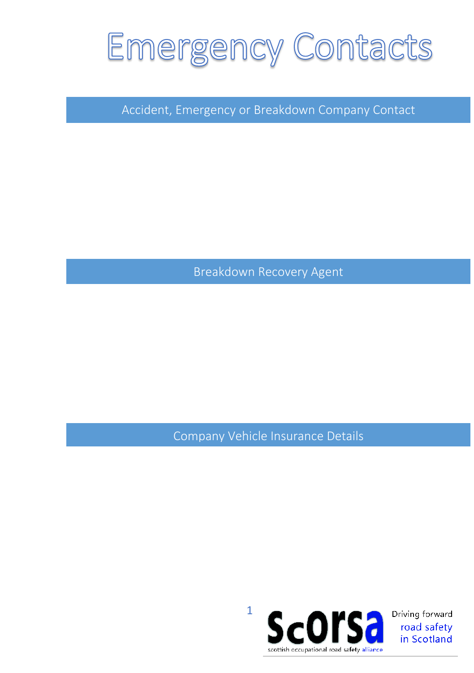### **Emergency Contacts**

Accident, Emergency or Breakdown Company Contact

Breakdown Recovery Agent

Company Vehicle Insurance Details

1



Driving forward road safety in Scotland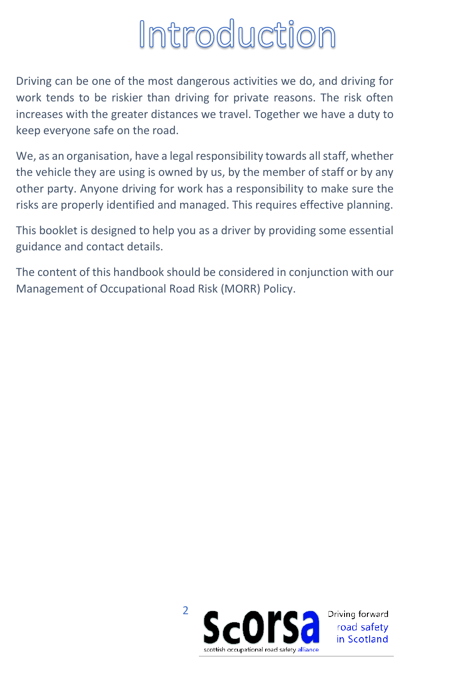# Introduction

Driving can be one of the most dangerous activities we do, and driving for work tends to be riskier than driving for private reasons. The risk often increases with the greater distances we travel. Together we have a duty to keep everyone safe on the road.

We, as an organisation, have a legal responsibility towards all staff, whether the vehicle they are using is owned by us, by the member of staff or by any other party. Anyone driving for work has a responsibility to make sure the risks are properly identified and managed. This requires effective planning.

This booklet is designed to help you as a driver by providing some essential guidance and contact details.

The content of this handbook should be considered in conjunction with our Management of Occupational Road Risk (MORR) Policy.

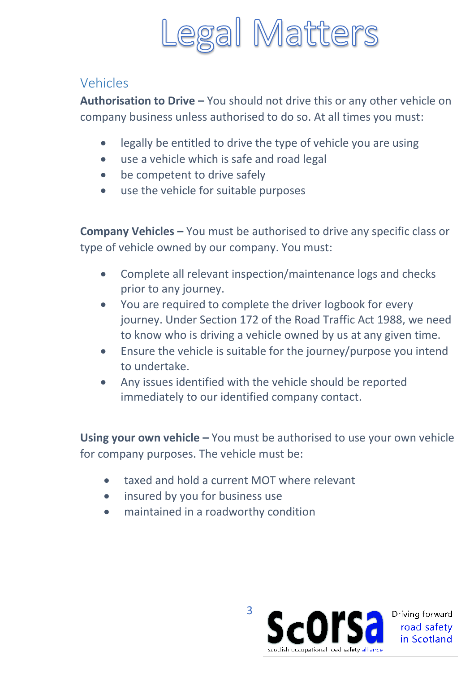

#### Vehicles

**Authorisation to Drive –** You should not drive this or any other vehicle on company business unless authorised to do so. At all times you must:

- legally be entitled to drive the type of vehicle you are using
- use a vehicle which is safe and road legal
- be competent to drive safely
- use the vehicle for suitable purposes

**Company Vehicles –** You must be authorised to drive any specific class or type of vehicle owned by our company. You must:

- Complete all relevant inspection/maintenance logs and checks prior to any journey.
- You are required to complete the driver logbook for every journey. Under Section 172 of the Road Traffic Act 1988, we need to know who is driving a vehicle owned by us at any given time.
- Ensure the vehicle is suitable for the journey/purpose you intend to undertake.
- Any issues identified with the vehicle should be reported immediately to our identified company contact.

**Using your own vehicle –** You must be authorised to use your own vehicle for company purposes. The vehicle must be:

- taxed and hold a current MOT where relevant
- insured by you for business use
- maintained in a roadworthy condition

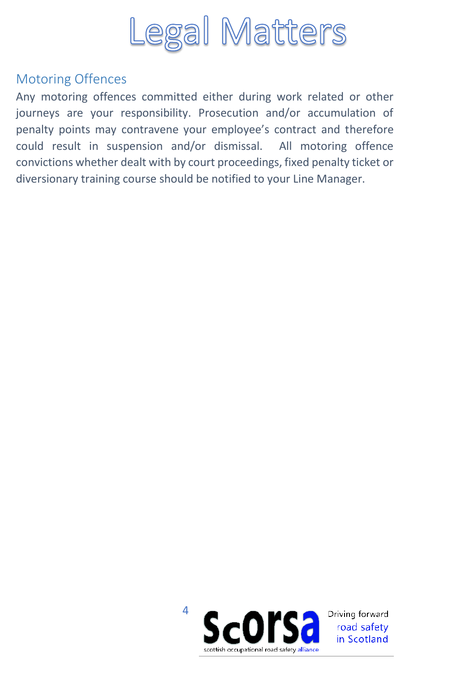

#### Motoring Offences

Any motoring offences committed either during work related or other journeys are your responsibility. Prosecution and/or accumulation of penalty points may contravene your employee's contract and therefore could result in suspension and/or dismissal. All motoring offence convictions whether dealt with by court proceedings, fixed penalty ticket or diversionary training course should be notified to your Line Manager.

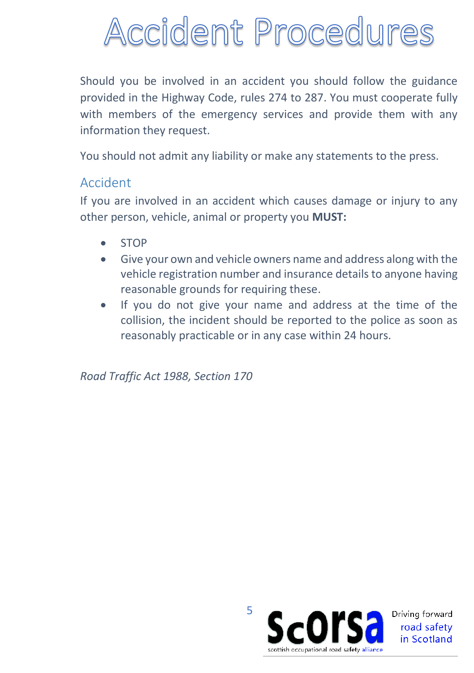# Accident Procedures

Should you be involved in an accident you should follow the guidance provided in the Highway Code, rules 274 to 287. You must cooperate fully with members of the emergency services and provide them with any information they request.

You should not admit any liability or make any statements to the press.

#### Accident

If you are involved in an accident which causes damage or injury to any other person, vehicle, animal or property you **MUST:**

- STOP
- Give your own and vehicle owners name and address along with the vehicle registration number and insurance details to anyone having reasonable grounds for requiring these.
- If you do not give your name and address at the time of the collision, the incident should be reported to the police as soon as reasonably practicable or in any case within 24 hours.

*Road Traffic Act 1988, Section 170*

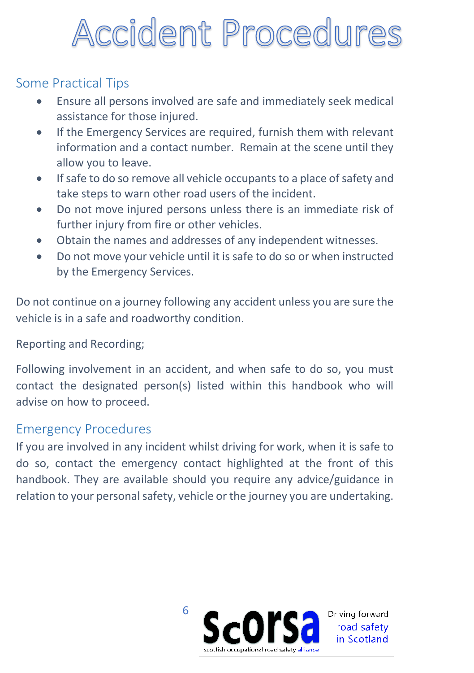# Accident Procedures

#### Some Practical Tips

- Ensure all persons involved are safe and immediately seek medical assistance for those injured.
- If the Emergency Services are required, furnish them with relevant information and a contact number. Remain at the scene until they allow you to leave.
- If safe to do so remove all vehicle occupants to a place of safety and take steps to warn other road users of the incident.
- Do not move injured persons unless there is an immediate risk of further injury from fire or other vehicles.
- Obtain the names and addresses of any independent witnesses.
- Do not move your vehicle until it is safe to do so or when instructed by the Emergency Services.

Do not continue on a journey following any accident unless you are sure the vehicle is in a safe and roadworthy condition.

#### Reporting and Recording;

Following involvement in an accident, and when safe to do so, you must contact the designated person(s) listed within this handbook who will advise on how to proceed.

#### Emergency Procedures

If you are involved in any incident whilst driving for work, when it is safe to do so, contact the emergency contact highlighted at the front of this handbook. They are available should you require any advice/guidance in relation to your personal safety, vehicle or the journey you are undertaking.

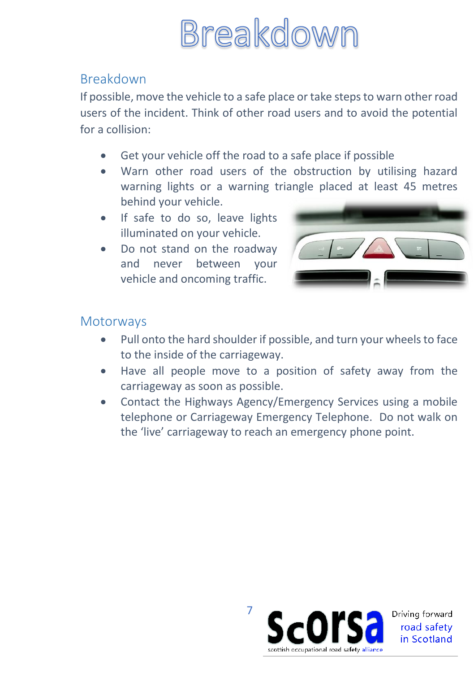

#### Breakdown

If possible, move the vehicle to a safe place or take steps to warn other road users of the incident. Think of other road users and to avoid the potential for a collision:

- Get your vehicle off the road to a safe place if possible
- Warn other road users of the obstruction by utilising hazard warning lights or a warning triangle placed at least 45 metres behind your vehicle.
- If safe to do so, leave lights illuminated on your vehicle.
- Do not stand on the roadway and never between your vehicle and oncoming traffic.



#### **Motorways**

- Pull onto the hard shoulder if possible, and turn your wheels to face to the inside of the carriageway.
- Have all people move to a position of safety away from the carriageway as soon as possible.
- Contact the Highways Agency/Emergency Services using a mobile telephone or Carriageway Emergency Telephone. Do not walk on the 'live' carriageway to reach an emergency phone point.

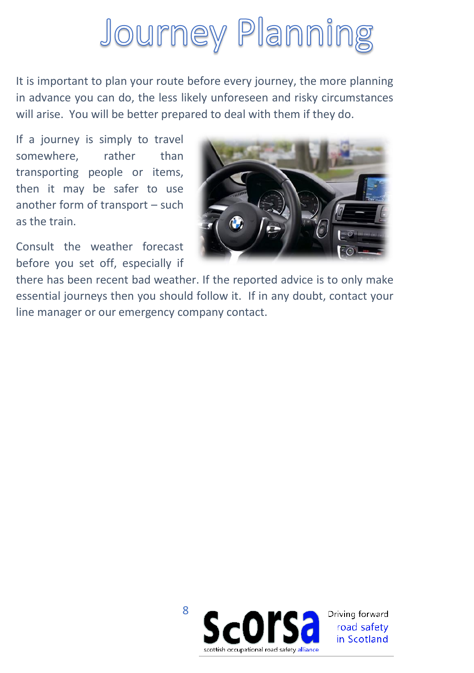# **Journey Planning**

It is important to plan your route before every journey, the more planning in advance you can do, the less likely unforeseen and risky circumstances will arise. You will be better prepared to deal with them if they do.

If a journey is simply to travel somewhere, rather than transporting people or items, then it may be safer to use another form of transport – such as the train.

Consult the weather forecast before you set off, especially if



there has been recent bad weather. If the reported advice is to only make essential journeys then you should follow it. If in any doubt, contact your line manager or our emergency company contact.

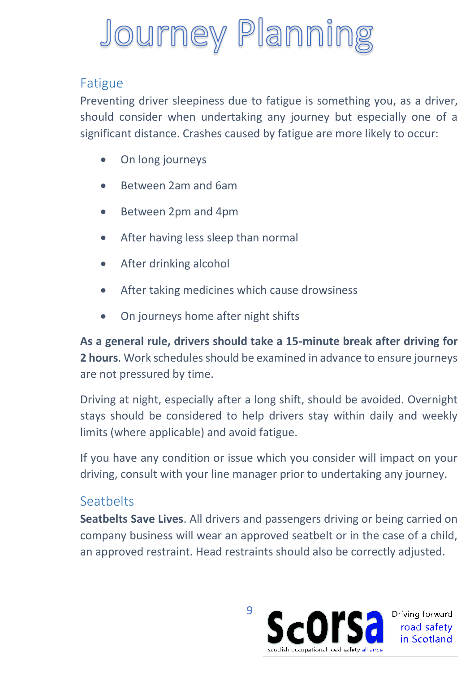# **Journey Planning**

#### Fatigue

Preventing driver sleepiness due to fatigue is something you, as a driver, should consider when undertaking any journey but especially one of a significant distance. Crashes caused by fatigue are more likely to occur:

- On long journeys
- Between 2am and 6am
- Between 2pm and 4pm
- After having less sleep than normal
- After drinking alcohol
- After taking medicines which cause drowsiness
- On journeys home after night shifts

**As a general rule, drivers should take a 15-minute break after driving for 2 hours**. Work schedules should be examined in advance to ensure journeys are not pressured by time.

Driving at night, especially after a long shift, should be avoided. Overnight stays should be considered to help drivers stay within daily and weekly limits (where applicable) and avoid fatigue.

If you have any condition or issue which you consider will impact on your driving, consult with your line manager prior to undertaking any journey.

#### **Seathelts**

**Seatbelts Save Lives**. All drivers and passengers driving or being carried on company business will wear an approved seatbelt or in the case of a child, an approved restraint. Head restraints should also be correctly adjusted.

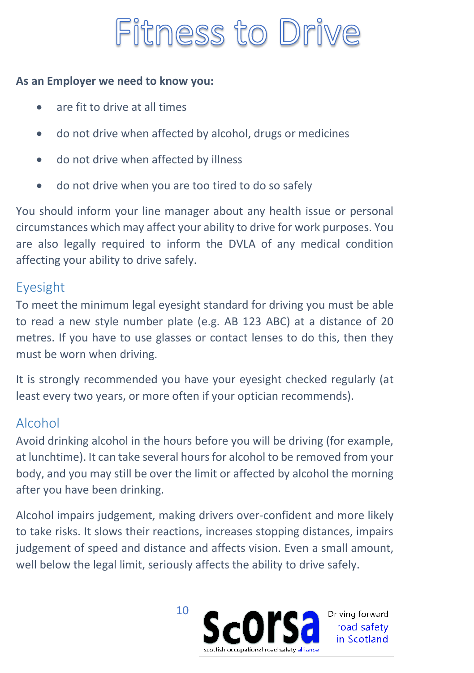### Fitness to Drive

#### **As an Employer we need to know you:**

- are fit to drive at all times
- do not drive when affected by alcohol, drugs or medicines
- do not drive when affected by illness
- do not drive when you are too tired to do so safely

You should inform your line manager about any health issue or personal circumstances which may affect your ability to drive for work purposes. You are also legally required to inform the DVLA of any medical condition affecting your ability to drive safely.

#### Eyesight

To meet the minimum legal eyesight standard for driving you must be able to read a new style number plate (e.g. AB 123 ABC) at a distance of 20 metres. If you have to use glasses or contact lenses to do this, then they must be worn when driving.

It is strongly recommended you have your eyesight checked regularly (at least every two years, or more often if your optician recommends).

#### Alcohol

Avoid drinking alcohol in the hours before you will be driving (for example, at lunchtime). It can take several hours for alcohol to be removed from your body, and you may still be over the limit or affected by alcohol the morning after you have been drinking.

Alcohol impairs judgement, making drivers over-confident and more likely to take risks. It slows their reactions, increases stopping distances, impairs judgement of speed and distance and affects vision. Even a small amount, well below the legal limit, seriously affects the ability to drive safely.



Driving forward road safety in Scotland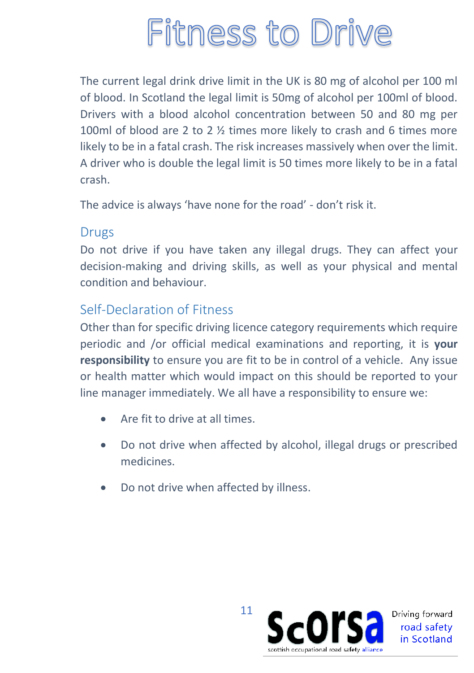### Fitness to Drive

The current legal drink drive limit in the UK is 80 mg of alcohol per 100 ml of blood. In Scotland the legal limit is 50mg of alcohol per 100ml of blood. Drivers with a blood alcohol concentration between 50 and 80 mg per 100ml of blood are 2 to 2 ½ times more likely to crash and 6 times more likely to be in a fatal crash. The risk increases massively when over the limit. A driver who is double the legal limit is 50 times more likely to be in a fatal crash.

The advice is always 'have none for the road' - don't risk it.

#### Drugs

Do not drive if you have taken any illegal drugs. They can affect your decision-making and driving skills, as well as your physical and mental condition and behaviour.

#### Self-Declaration of Fitness

Other than for specific driving licence category requirements which require periodic and /or official medical examinations and reporting, it is **your responsibility** to ensure you are fit to be in control of a vehicle. Any issue or health matter which would impact on this should be reported to your line manager immediately. We all have a responsibility to ensure we:

- Are fit to drive at all times.
- Do not drive when affected by alcohol, illegal drugs or prescribed medicines.
- Do not drive when affected by illness.

11 Driving forward road safety in Scotland scottish occupational road safety allianc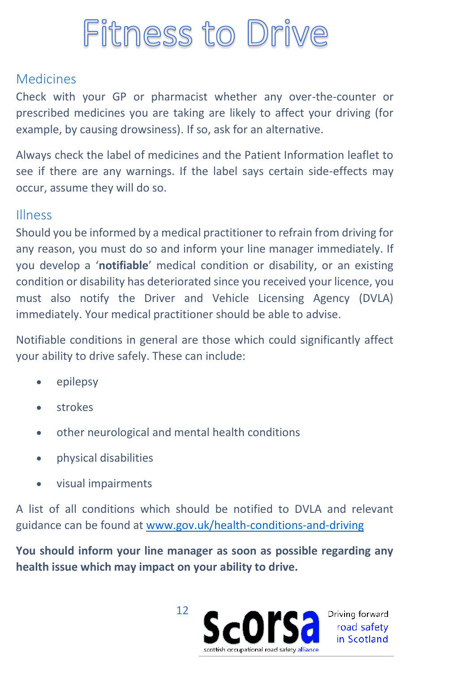### Fitness to Drive

#### Medicines

Check with your GP or pharmacist whether any over-the-counter or prescribed medicines you are taking are likely to affect your driving (for example, by causing drowsiness). If so, ask for an alternative.

Always check the label of medicines and the Patient Information leaflet to see if there are any warnings. If the label says certain side-effects may occur, assume they will do so.

#### Illness

Should you be informed by a medical practitioner to refrain from driving for any reason, you must do so and inform your line manager immediately. If you develop a '**notifiable**' medical condition or disability, or an existing condition or disability has deteriorated since you received your licence, you must also notify the Driver and Vehicle Licensing Agency (DVLA) immediately. Your medical practitioner should be able to advise.

Notifiable conditions in general are those which could significantly affect your ability to drive safely. These can include:

- epilepsy
- strokes
- other neurological and mental health conditions
- physical disabilities
- visual impairments

A list of all conditions which should be notified to DVLA and relevant guidance can be found a[t www.gov.uk/health-conditions-and-driving](http://www.gov.uk/health-conditions-and-driving) 

**You should inform your line manager as soon as possible regarding any health issue which may impact on your ability to drive.**



Driving forward road safety in Scotland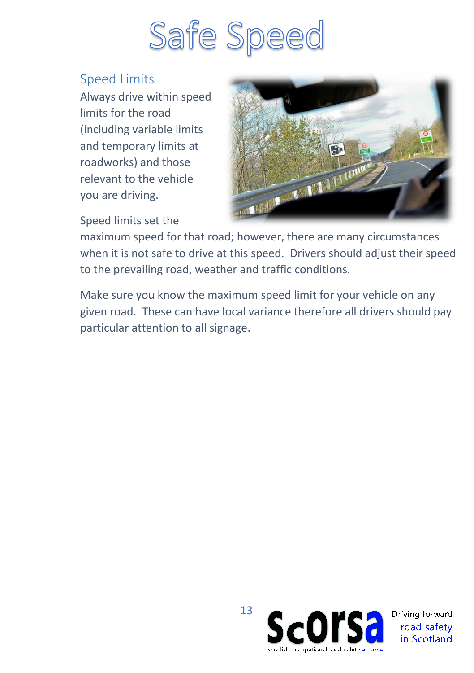

#### Speed Limits

Always drive within speed limits for the road (including variable limits and temporary limits at roadworks) and those relevant to the vehicle you are driving.



#### Speed limits set the

maximum speed for that road; however, there are many circumstances when it is not safe to drive at this speed. Drivers should adjust their speed to the prevailing road, weather and traffic conditions.

Make sure you know the maximum speed limit for your vehicle on any given road. These can have local variance therefore all drivers should pay particular attention to all signage.

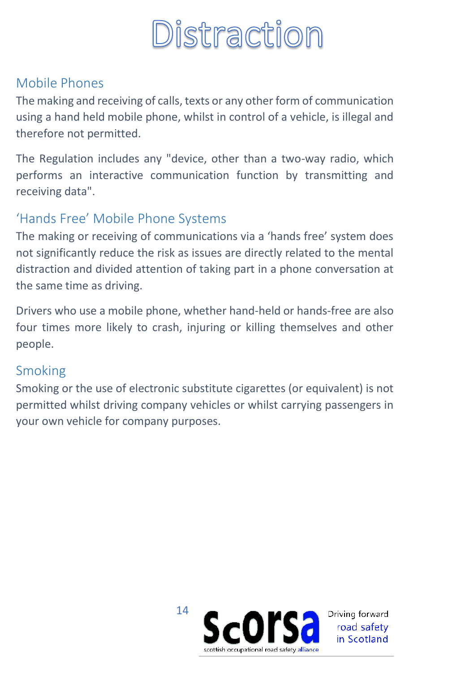

#### Mobile Phones

The making and receiving of calls, texts or any other form of communication using a hand held mobile phone, whilst in control of a vehicle, is illegal and therefore not permitted.

The Regulation includes any "device, other than a two-way radio, which performs an interactive communication function by transmitting and receiving data".

#### 'Hands Free' Mobile Phone Systems

The making or receiving of communications via a 'hands free' system does not significantly reduce the risk as issues are directly related to the mental distraction and divided attention of taking part in a phone conversation at the same time as driving.

Drivers who use a mobile phone, whether hand-held or hands-free are also four times more likely to crash, injuring or killing themselves and other people.

#### Smoking

Smoking or the use of electronic substitute cigarettes (or equivalent) is not permitted whilst driving company vehicles or whilst carrying passengers in your own vehicle for company purposes.

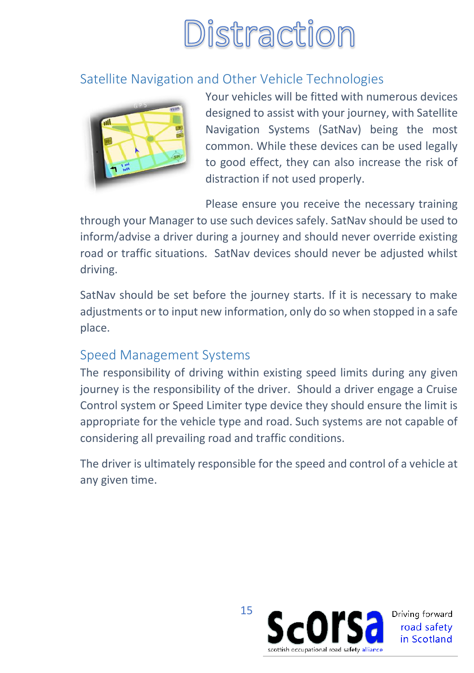# Distraction

#### Satellite Navigation and Other Vehicle Technologies



Your vehicles will be fitted with numerous devices designed to assist with your journey, with Satellite Navigation Systems (SatNav) being the most common. While these devices can be used legally to good effect, they can also increase the risk of distraction if not used properly.

Please ensure you receive the necessary training

through your Manager to use such devices safely. SatNav should be used to inform/advise a driver during a journey and should never override existing road or traffic situations. SatNav devices should never be adjusted whilst driving.

SatNav should be set before the journey starts. If it is necessary to make adjustments or to input new information, only do so when stopped in a safe place.

#### Speed Management Systems

The responsibility of driving within existing speed limits during any given journey is the responsibility of the driver. Should a driver engage a Cruise Control system or Speed Limiter type device they should ensure the limit is appropriate for the vehicle type and road. Such systems are not capable of considering all prevailing road and traffic conditions.

The driver is ultimately responsible for the speed and control of a vehicle at any given time.